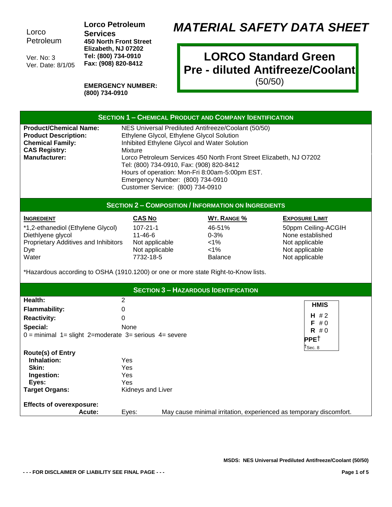Lorco Petroleum

Ver. No: 3 Ver. Date: 8/1/05 **Lorco Petroleum Services 450 North Front Street Elizabeth, NJ 07202 Tel: (800) 734-0910 Fax: (908) 820-8412**

## *MATERIAL SAFETY DATA SHEET*

## **LORCO Standard Green Pre - diluted Antifreeze/Coolant**

(50/50)

| <b>EMERGENCY NUMBER:</b> |
|--------------------------|
| (800) 734-0910           |

| <b>SECTION 1 - CHEMICAL PRODUCT AND COMPANY IDENTIFICATION</b>                                                                                                                                                            |                                                                                                   |                                                                                                                                                                                                                                                                                                                       |                                                                                                                        |
|---------------------------------------------------------------------------------------------------------------------------------------------------------------------------------------------------------------------------|---------------------------------------------------------------------------------------------------|-----------------------------------------------------------------------------------------------------------------------------------------------------------------------------------------------------------------------------------------------------------------------------------------------------------------------|------------------------------------------------------------------------------------------------------------------------|
| <b>Product/Chemical Name:</b><br><b>Product Description:</b><br><b>Chemical Family:</b><br><b>CAS Registry:</b><br><b>Manufacturer:</b>                                                                                   | Mixture<br>Emergency Number: (800) 734-0910<br>Customer Service: (800) 734-0910                   | NES Universal Prediluted Antifreeze/Coolant (50/50)<br>Ethylene Glycol, Ethylene Glycol Solution<br>Inhibited Ethylene Glycol and Water Solution<br>Lorco Petroleum Services 450 North Front Street Elizabeth, NJ 07202<br>Tel: (800) 734-0910, Fax: (908) 820-8412<br>Hours of operation: Mon-Fri 8:00am-5:00pm EST. |                                                                                                                        |
|                                                                                                                                                                                                                           |                                                                                                   | <b>SECTION 2 - COMPOSITION / INFORMATION ON INGREDIENTS</b>                                                                                                                                                                                                                                                           |                                                                                                                        |
| <b>INGREDIENT</b><br>*1,2-ethanediol (Ethylene Glycol)<br>Diethlyene glycol<br>Proprietary Additives and Inhibitors<br>Dye<br>Water<br>*Hazardous according to OSHA (1910.1200) or one or more state Right-to-Know lists. | <b>CAS No</b><br>$107 - 21 - 1$<br>$11 - 46 - 6$<br>Not applicable<br>Not applicable<br>7732-18-5 | <b>WT. RANGE %</b><br>46-51%<br>$0 - 3%$<br>$<1\%$<br>$1\%$<br><b>Balance</b>                                                                                                                                                                                                                                         | <b>EXPOSURE LIMIT</b><br>50ppm Ceiling-ACGIH<br>None established<br>Not applicable<br>Not applicable<br>Not applicable |
|                                                                                                                                                                                                                           |                                                                                                   | <b>SECTION 3 - HAZARDOUS IDENTIFICATION</b>                                                                                                                                                                                                                                                                           |                                                                                                                        |
| Health:                                                                                                                                                                                                                   | $\overline{2}$                                                                                    |                                                                                                                                                                                                                                                                                                                       |                                                                                                                        |
| <b>Flammability:</b>                                                                                                                                                                                                      | $\mathbf{0}$                                                                                      |                                                                                                                                                                                                                                                                                                                       | <b>HMIS</b>                                                                                                            |
| <b>Reactivity:</b>                                                                                                                                                                                                        | 0                                                                                                 |                                                                                                                                                                                                                                                                                                                       | $H \# 2$                                                                                                               |
| Special:<br>None<br>$0 =$ minimal $1 =$ slight 2=moderate 3= serious 4= severe                                                                                                                                            |                                                                                                   | $F \# 0$<br>$R \# 0$<br><b>PPET</b><br>$\uparrow$ Sec. 8                                                                                                                                                                                                                                                              |                                                                                                                        |
| Route(s) of Entry<br>Inhalation:<br>Skin:<br>Ingestion:<br>Eyes:<br><b>Target Organs:</b>                                                                                                                                 | Yes<br>Yes<br>Yes<br>Yes<br>Kidneys and Liver                                                     |                                                                                                                                                                                                                                                                                                                       |                                                                                                                        |
| <b>Effects of overexposure:</b><br>Acute:                                                                                                                                                                                 | Eyes:                                                                                             |                                                                                                                                                                                                                                                                                                                       | May cause minimal irritation, experienced as temporary discomfort.                                                     |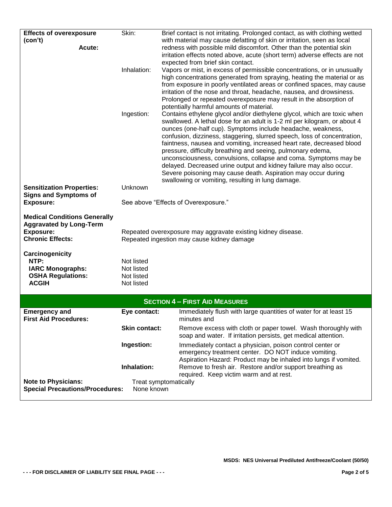| <b>Effects of overexposure</b>                                       | Skin:                | Brief contact is not irritating. Prolonged contact, as with clothing wetted                                    |
|----------------------------------------------------------------------|----------------------|----------------------------------------------------------------------------------------------------------------|
| (con't)                                                              |                      | with material may cause defatting of skin or irritation, seen as local                                         |
| Acute:                                                               |                      | redness with possible mild discomfort. Other than the potential skin                                           |
|                                                                      |                      | irritation effects noted above, acute (short term) adverse effects are not                                     |
|                                                                      |                      | expected from brief skin contact.                                                                              |
|                                                                      | Inhalation:          | Vapors or mist, in excess of permissible concentrations, or in unusually                                       |
|                                                                      |                      | high concentrations generated from spraying, heating the material or as                                        |
|                                                                      |                      | from exposure in poorly ventilated areas or confined spaces, may cause                                         |
|                                                                      |                      | irritation of the nose and throat, headache, nausea, and drowsiness.                                           |
|                                                                      |                      | Prolonged or repeated overexposure may result in the absorption of<br>potentially harmful amounts of material. |
|                                                                      | Ingestion:           | Contains ethylene glycol and/or diethylene glycol, which are toxic when                                        |
|                                                                      |                      | swallowed. A lethal dose for an adult is 1-2 ml per kilogram, or about 4                                       |
|                                                                      |                      | ounces (one-half cup). Symptoms include headache, weakness,                                                    |
|                                                                      |                      | confusion, dizziness, staggering, slurred speech, loss of concentration,                                       |
|                                                                      |                      | faintness, nausea and vomiting, increased heart rate, decreased blood                                          |
|                                                                      |                      | pressure, difficulty breathing and seeing, pulmonary edema,                                                    |
|                                                                      |                      | unconsciousness, convulsions, collapse and coma. Symptoms may be                                               |
|                                                                      |                      | delayed. Decreased urine output and kidney failure may also occur.                                             |
|                                                                      |                      | Severe poisoning may cause death. Aspiration may occur during                                                  |
|                                                                      | Unknown              | swallowing or vomiting, resulting in lung damage.                                                              |
| <b>Sensitization Properties:</b><br><b>Signs and Symptoms of</b>     |                      |                                                                                                                |
| <b>Exposure:</b>                                                     |                      | See above "Effects of Overexposure."                                                                           |
|                                                                      |                      |                                                                                                                |
| <b>Medical Conditions Generally</b>                                  |                      |                                                                                                                |
| <b>Aggravated by Long-Term</b>                                       |                      |                                                                                                                |
| <b>Exposure:</b>                                                     |                      | Repeated overexposure may aggravate existing kidney disease.                                                   |
| <b>Chronic Effects:</b>                                              |                      | Repeated ingestion may cause kidney damage                                                                     |
| Carcinogenicity                                                      |                      |                                                                                                                |
| NTP:                                                                 | Not listed           |                                                                                                                |
| <b>IARC Monographs:</b>                                              | Not listed           |                                                                                                                |
| <b>OSHA Regulations:</b>                                             | Not listed           |                                                                                                                |
| <b>ACGIH</b>                                                         | Not listed           |                                                                                                                |
|                                                                      |                      |                                                                                                                |
|                                                                      |                      | <b>SECTION 4 - FIRST AID MEASURES</b>                                                                          |
| <b>Emergency and</b>                                                 | Eye contact:         | Immediately flush with large quantities of water for at least 15                                               |
| <b>First Aid Procedures:</b>                                         |                      | minutes and                                                                                                    |
|                                                                      | <b>Skin contact:</b> | Remove excess with cloth or paper towel. Wash thoroughly with                                                  |
|                                                                      |                      | soap and water. If irritation persists, get medical attention.                                                 |
|                                                                      | Ingestion:           | Immediately contact a physician, poison control center or                                                      |
|                                                                      |                      | emergency treatment center. DO NOT induce vomiting.                                                            |
|                                                                      |                      | Aspiration Hazard: Product may be inhaled into lungs if vomited.                                               |
|                                                                      | Inhalation:          | Remove to fresh air. Restore and/or support breathing as                                                       |
|                                                                      |                      | required. Keep victim warm and at rest.                                                                        |
| <b>Note to Physicians:</b><br><b>Special Precautions/Procedures:</b> | None known           | Treat symptomatically                                                                                          |
|                                                                      |                      |                                                                                                                |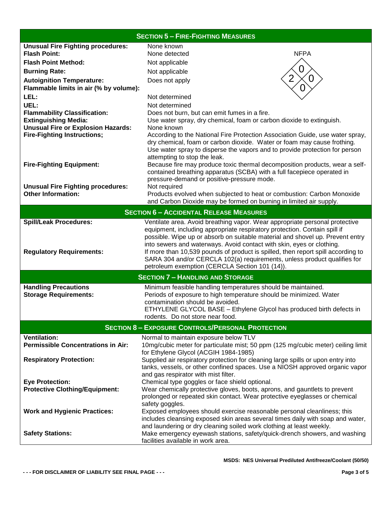| <b>SECTION 5 - FIRE-FIGHTING MEASURES</b>                             |                                                                                                                                                                                                                                                                                                                                                                                                                                                                                                                                      |  |  |  |
|-----------------------------------------------------------------------|--------------------------------------------------------------------------------------------------------------------------------------------------------------------------------------------------------------------------------------------------------------------------------------------------------------------------------------------------------------------------------------------------------------------------------------------------------------------------------------------------------------------------------------|--|--|--|
| <b>Unusual Fire Fighting procedures:</b>                              | None known                                                                                                                                                                                                                                                                                                                                                                                                                                                                                                                           |  |  |  |
| <b>Flash Point:</b>                                                   | <b>NFPA</b><br>None detected                                                                                                                                                                                                                                                                                                                                                                                                                                                                                                         |  |  |  |
| <b>Flash Point Method:</b>                                            | Not applicable                                                                                                                                                                                                                                                                                                                                                                                                                                                                                                                       |  |  |  |
| <b>Burning Rate:</b>                                                  | Not applicable                                                                                                                                                                                                                                                                                                                                                                                                                                                                                                                       |  |  |  |
| <b>Autoignition Temperature:</b>                                      | $\Omega$<br>Does not apply                                                                                                                                                                                                                                                                                                                                                                                                                                                                                                           |  |  |  |
| Flammable limits in air (% by volume):                                |                                                                                                                                                                                                                                                                                                                                                                                                                                                                                                                                      |  |  |  |
| LEL:                                                                  | Not determined                                                                                                                                                                                                                                                                                                                                                                                                                                                                                                                       |  |  |  |
| UEL:                                                                  | Not determined                                                                                                                                                                                                                                                                                                                                                                                                                                                                                                                       |  |  |  |
| <b>Flammability Classification:</b>                                   | Does not burn, but can emit fumes in a fire.                                                                                                                                                                                                                                                                                                                                                                                                                                                                                         |  |  |  |
| <b>Extinguishing Media:</b>                                           | Use water spray, dry chemical, foam or carbon dioxide to extinguish.                                                                                                                                                                                                                                                                                                                                                                                                                                                                 |  |  |  |
| <b>Unusual Fire or Explosion Hazards:</b>                             | None known                                                                                                                                                                                                                                                                                                                                                                                                                                                                                                                           |  |  |  |
| <b>Fire-Fighting Instructions;</b>                                    | According to the National Fire Protection Association Guide, use water spray,<br>dry chemical, foam or carbon dioxide. Water or foam may cause frothing.<br>Use water spray to disperse the vapors and to provide protection for person<br>attempting to stop the leak.                                                                                                                                                                                                                                                              |  |  |  |
| <b>Fire-Fighting Equipment:</b>                                       | Because fire may produce toxic thermal decomposition products, wear a self-<br>contained breathing apparatus (SCBA) with a full facepiece operated in<br>pressure-demand or positive-pressure mode.                                                                                                                                                                                                                                                                                                                                  |  |  |  |
| <b>Unusual Fire Fighting procedures:</b><br><b>Other Information:</b> | Not required                                                                                                                                                                                                                                                                                                                                                                                                                                                                                                                         |  |  |  |
|                                                                       | Products evolved when subjected to heat or combustion: Carbon Monoxide<br>and Carbon Dioxide may be formed on burning in limited air supply.                                                                                                                                                                                                                                                                                                                                                                                         |  |  |  |
|                                                                       | <b>SECTION 6 - ACCIDENTAL RELEASE MEASURES</b>                                                                                                                                                                                                                                                                                                                                                                                                                                                                                       |  |  |  |
|                                                                       |                                                                                                                                                                                                                                                                                                                                                                                                                                                                                                                                      |  |  |  |
| <b>Spill/Leak Procedures:</b><br><b>Regulatory Requirements:</b>      | Ventilate area. Avoid breathing vapor. Wear appropriate personal protective<br>equipment, including appropriate respiratory protection. Contain spill if<br>possible. Wipe up or absorb on suitable material and shovel up. Prevent entry<br>into sewers and waterways. Avoid contact with skin, eyes or clothing.<br>If more than 10,539 pounds of product is spilled, then report spill according to<br>SARA 304 and/or CERCLA 102(a) requirements, unless product qualifies for<br>petroleum exemption (CERCLA Section 101 (14)). |  |  |  |
|                                                                       | <b>SECTION 7 - HANDLING AND STORAGE</b>                                                                                                                                                                                                                                                                                                                                                                                                                                                                                              |  |  |  |
| <b>Handling Precautions</b>                                           | Minimum feasible handling temperatures should be maintained.                                                                                                                                                                                                                                                                                                                                                                                                                                                                         |  |  |  |
| <b>Storage Requirements:</b>                                          | Periods of exposure to high temperature should be minimized. Water                                                                                                                                                                                                                                                                                                                                                                                                                                                                   |  |  |  |
|                                                                       | contamination should be avoided.                                                                                                                                                                                                                                                                                                                                                                                                                                                                                                     |  |  |  |
|                                                                       | ETHYLENE GLYCOL BASE - Ethylene Glycol has produced birth defects in                                                                                                                                                                                                                                                                                                                                                                                                                                                                 |  |  |  |
|                                                                       | rodents. Do not store near food.                                                                                                                                                                                                                                                                                                                                                                                                                                                                                                     |  |  |  |
| <b>SECTION 8 - EXPOSURE CONTROLS/PERSONAL PROTECTION</b>              |                                                                                                                                                                                                                                                                                                                                                                                                                                                                                                                                      |  |  |  |
| <b>Ventilation:</b>                                                   | Normal to maintain exposure below TLV                                                                                                                                                                                                                                                                                                                                                                                                                                                                                                |  |  |  |
| <b>Permissible Concentrations in Air:</b>                             | 10mg/cubic meter for particulate mist; 50 ppm (125 mg/cubic meter) ceiling limit                                                                                                                                                                                                                                                                                                                                                                                                                                                     |  |  |  |
|                                                                       | for Ethylene Glycol (ACGIH 1984-1985)                                                                                                                                                                                                                                                                                                                                                                                                                                                                                                |  |  |  |
| <b>Respiratory Protection:</b>                                        | Supplied air respiratory protection for cleaning large spills or upon entry into<br>tanks, vessels, or other confined spaces. Use a NIOSH approved organic vapor                                                                                                                                                                                                                                                                                                                                                                     |  |  |  |
|                                                                       | and gas respirator with mist filter.                                                                                                                                                                                                                                                                                                                                                                                                                                                                                                 |  |  |  |
| <b>Eye Protection:</b>                                                | Chemical type goggles or face shield optional.                                                                                                                                                                                                                                                                                                                                                                                                                                                                                       |  |  |  |
| <b>Protective Clothing/Equipment:</b>                                 | Wear chemically protective gloves, boots, aprons, and gauntlets to prevent                                                                                                                                                                                                                                                                                                                                                                                                                                                           |  |  |  |
|                                                                       | prolonged or repeated skin contact. Wear protective eyeglasses or chemical                                                                                                                                                                                                                                                                                                                                                                                                                                                           |  |  |  |
|                                                                       | safety goggles.                                                                                                                                                                                                                                                                                                                                                                                                                                                                                                                      |  |  |  |
| <b>Work and Hygienic Practices:</b>                                   | Exposed employees should exercise reasonable personal cleanliness; this                                                                                                                                                                                                                                                                                                                                                                                                                                                              |  |  |  |
|                                                                       | includes cleansing exposed skin areas several times daily with soap and water,<br>and laundering or dry cleaning soiled work clothing at least weekly.                                                                                                                                                                                                                                                                                                                                                                               |  |  |  |
| <b>Safety Stations:</b>                                               | Make emergency eyewash stations, safety/quick-drench showers, and washing                                                                                                                                                                                                                                                                                                                                                                                                                                                            |  |  |  |
|                                                                       | facilities available in work area.                                                                                                                                                                                                                                                                                                                                                                                                                                                                                                   |  |  |  |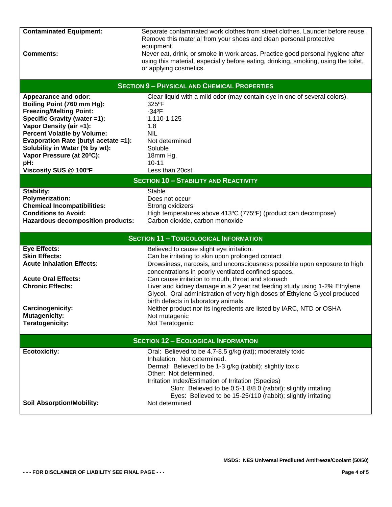| <b>Contaminated Equipment:</b>             | Separate contaminated work clothes from street clothes. Launder before reuse.       |  |  |  |
|--------------------------------------------|-------------------------------------------------------------------------------------|--|--|--|
|                                            | Remove this material from your shoes and clean personal protective                  |  |  |  |
|                                            | equipment.                                                                          |  |  |  |
| <b>Comments:</b>                           | Never eat, drink, or smoke in work areas. Practice good personal hygiene after      |  |  |  |
|                                            | using this material, especially before eating, drinking, smoking, using the toilet, |  |  |  |
|                                            | or applying cosmetics.                                                              |  |  |  |
|                                            |                                                                                     |  |  |  |
|                                            | <b>SECTION 9 - PHYSICAL AND CHEMICAL PROPERTIES</b>                                 |  |  |  |
|                                            |                                                                                     |  |  |  |
| <b>Appearance and odor:</b>                | Clear liquid with a mild odor (may contain dye in one of several colors).           |  |  |  |
| Boiling Point (760 mm Hg):                 | 325°F                                                                               |  |  |  |
| <b>Freezing/Melting Point:</b>             | $-34$ <sup>o</sup> F                                                                |  |  |  |
| Specific Gravity (water =1):               | 1.110-1.125                                                                         |  |  |  |
| Vapor Density (air =1):                    | 1.8                                                                                 |  |  |  |
| <b>Percent Volatile by Volume:</b>         | <b>NIL</b>                                                                          |  |  |  |
| Evaporation Rate (butyl acetate =1):       | Not determined                                                                      |  |  |  |
| Solubility in Water (% by wt):             | Soluble                                                                             |  |  |  |
| Vapor Pressure (at 20°C):                  | 18mm Hg.                                                                            |  |  |  |
| pH:                                        | $10 - 11$                                                                           |  |  |  |
| Viscosity SUS @ 100°F                      | Less than 20cst                                                                     |  |  |  |
|                                            |                                                                                     |  |  |  |
|                                            | <b>SECTION 10 - STABILITY AND REACTIVITY</b>                                        |  |  |  |
| Stability:                                 | <b>Stable</b>                                                                       |  |  |  |
| <b>Polymerization:</b>                     | Does not occur                                                                      |  |  |  |
| <b>Chemical Incompatibilities:</b>         | Strong oxidizers                                                                    |  |  |  |
| <b>Conditions to Avoid:</b>                | High temperatures above 413°C (775°F) (product can decompose)                       |  |  |  |
| <b>Hazardous decomposition products:</b>   | Carbon dioxide, carbon monoxide                                                     |  |  |  |
|                                            |                                                                                     |  |  |  |
|                                            | <b>SECTION 11 - TOXICOLOGICAL INFORMATION</b>                                       |  |  |  |
| <b>Eye Effects:</b>                        | Believed to cause slight eye irritation.                                            |  |  |  |
| <b>Skin Effects:</b>                       | Can be irritating to skin upon prolonged contact                                    |  |  |  |
| <b>Acute Inhalation Effects:</b>           |                                                                                     |  |  |  |
|                                            | Drowsiness, narcosis, and unconsciousness possible upon exposure to high            |  |  |  |
|                                            | concentrations in poorly ventilated confined spaces.                                |  |  |  |
| <b>Acute Oral Effects:</b>                 | Can cause irritation to mouth, throat and stomach                                   |  |  |  |
| <b>Chronic Effects:</b>                    | Liver and kidney damage in a 2 year rat feeding study using 1-2% Ethylene           |  |  |  |
|                                            | Glycol. Oral administration of very high doses of Ethylene Glycol produced          |  |  |  |
|                                            | birth defects in laboratory animals.                                                |  |  |  |
| Carcinogenicity:                           | Neither product nor its ingredients are listed by IARC, NTD or OSHA                 |  |  |  |
| <b>Mutagenicity:</b>                       | Not mutagenic                                                                       |  |  |  |
| Teratogenicity:                            | Not Teratogenic                                                                     |  |  |  |
|                                            |                                                                                     |  |  |  |
| <b>SECTION 12 - ECOLOGICAL INFORMATION</b> |                                                                                     |  |  |  |
| <b>Ecotoxicity:</b>                        | Oral: Believed to be 4.7-8.5 g/kg (rat); moderately toxic                           |  |  |  |
|                                            | Inhalation: Not determined.                                                         |  |  |  |
|                                            | Dermal: Believed to be 1-3 g/kg (rabbit); slightly toxic                            |  |  |  |
|                                            | Other: Not determined.                                                              |  |  |  |
|                                            | Irritation Index/Estimation of Irritation (Species)                                 |  |  |  |
|                                            | Skin: Believed to be 0.5-1.8/8.0 (rabbit); slightly irritating                      |  |  |  |
|                                            | Eyes: Believed to be 15-25/110 (rabbit); slightly irritating                        |  |  |  |
| <b>Soil Absorption/Mobility:</b>           | Not determined                                                                      |  |  |  |
|                                            |                                                                                     |  |  |  |
|                                            |                                                                                     |  |  |  |